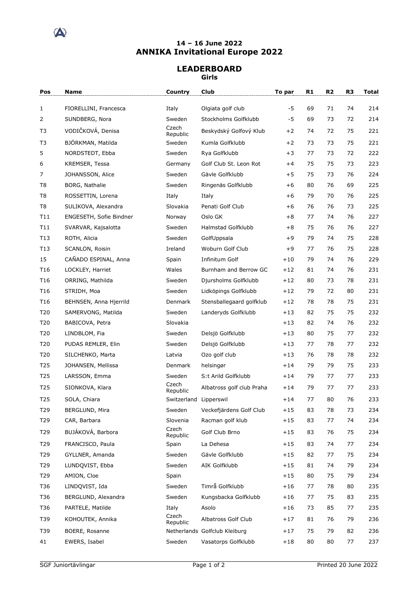

## **14 – 16 June 2022 ANNIKA Invitational Europe 2022**

## **LEADERBOARD Girls**

| Pos             | Name                    | Country                | Club                          | To par | R1 | R <sub>2</sub> | R <sub>3</sub> | Total |
|-----------------|-------------------------|------------------------|-------------------------------|--------|----|----------------|----------------|-------|
| $\mathbf{1}$    | FIORELLINI, Francesca   | Italy                  | Olgiata golf club             | -5     | 69 | 71             | 74             | 214   |
| 2               | SUNDBERG, Nora          | Sweden                 | Stockholms Golfklubb          | $-5$   | 69 | 73             | 72             | 214   |
| T3              | VODIČKOVÁ, Denisa       | Czech<br>Republic      | Beskydský Golfový Klub        | $+2$   | 74 | 72             | 75             | 221   |
| T <sub>3</sub>  | BJÖRKMAN, Matilda       | Sweden                 | Kumla Golfklubb               | $+2$   | 73 | 73             | 75             | 221   |
| 5               | NORDSTEDT, Ebba         | Sweden                 | Rya Golfklubb                 | $+3$   | 77 | 73             | 72             | 222   |
| 6               | <b>KREMSER, Tessa</b>   | Germany                | Golf Club St. Leon Rot        | $+4$   | 75 | 75             | 73             | 223   |
| 7               | JOHANSSON, Alice        | Sweden                 | Gävle Golfklubb               | $+5$   | 75 | 73             | 76             | 224   |
| T8              | BORG, Nathalie          | Sweden                 | Ringenäs Golfklubb            | $+6$   | 80 | 76             | 69             | 225   |
| T8              | ROSSETTIN, Lorena       | Italy                  | Italy                         | $+6$   | 79 | 70             | 76             | 225   |
| T <sub>8</sub>  | SULIKOVA, Alexandra     | Slovakia               | Penati Golf Club              | $+6$   | 76 | 76             | 73             | 225   |
| T11             | ENGESETH, Sofie Bindner | Norway                 | Oslo GK                       | $+8$   | 77 | 74             | 76             | 227   |
| T11             | SVARVAR, Kajsalotta     | Sweden                 | Halmstad Golfklubb            | $+8$   | 75 | 76             | 76             | 227   |
| T13             | ROTH, Alicia            | Sweden                 | GolfUppsala                   | $+9$   | 79 | 74             | 75             | 228   |
| T13             | SCANLON, Roisin         | Ireland                | Woburn Golf Club              | $+9$   | 77 | 76             | 75             | 228   |
| 15              | CAÑADO ESPINAL, Anna    | Spain                  | Infinitum Golf                | $+10$  | 79 | 74             | 76             | 229   |
| T16             | LOCKLEY, Harriet        | Wales                  | Burnham and Berrow GC         | $+12$  | 81 | 74             | 76             | 231   |
| T <sub>16</sub> | ORRING, Mathilda        | Sweden                 | Djursholms Golfklubb          | $+12$  | 80 | 73             | 78             | 231   |
| T <sub>16</sub> | STRIDH, Moa             | Sweden                 | Lidköpings Golfklubb          | $+12$  | 79 | 72             | 80             | 231   |
| T <sub>16</sub> | BEHNSEN, Anna Hjerrild  | Denmark                | Stensballegaard golfklub      | $+12$  | 78 | 78             | 75             | 231   |
| T20             | SAMERVONG, Matilda      | Sweden                 | Landeryds Golfklubb           | $+13$  | 82 | 75             | 75             | 232   |
| T20             | BABICOVA, Petra         | Slovakia               |                               | $+13$  | 82 | 74             | 76             | 232   |
| T20             | LINDBLOM, Fia           | Sweden                 | Delsjö Golfklubb              | $+13$  | 80 | 75             | 77             | 232   |
| T20             | PUDAS REMLER, Elin      | Sweden                 | Delsjö Golfklubb              | $+13$  | 77 | 78             | 77             | 232   |
| T20             | SILCHENKO, Marta        | Latvia                 | Ozo golf club                 | $+13$  | 76 | 78             | 78             | 232   |
| T <sub>25</sub> | JOHANSEN, Mellissa      | Denmark                | helsingør                     | $+14$  | 79 | 79             | 75             | 233   |
| T25             | LARSSON, Emma           | Sweden                 | S:t Arild Golfklubb           | $+14$  | 79 | 77             | 77             | 233   |
| T <sub>25</sub> | SIONKOVA, Klara         | Czech<br>Republic      | Albatross golf club Praha     | $+14$  | 79 | 77             | 77             | 233   |
| T25             | SOLA, Chiara            | Switzerland Lipperswil |                               | $+14$  | 77 | 80             | 76             | 233   |
| T29             | BERGLUND, Mira          | Sweden                 | Veckefjärdens Golf Club       | $+15$  | 83 | 78             | 73             | 234   |
| T29             | CAR, Barbara            | Slovenia               | Racman golf klub              | $+15$  | 83 | 77             | 74             | 234   |
| T29             | BUJÁKOVÁ, Barbora       | Czech<br>Republic      | Golf Club Brno                | $+15$  | 83 | 76             | 75             | 234   |
| T29             | FRANCISCO, Paula        | Spain                  | La Dehesa                     | $+15$  | 83 | 74             | 77             | 234   |
| T29             | GYLLNER, Amanda         | Sweden                 | Gävle Golfklubb               | $+15$  | 82 | 77             | 75             | 234   |
| T29             | LUNDOVIST, Ebba         | Sweden                 | AIK Golfklubb                 | $+15$  | 81 | 74             | 79             | 234   |
| T29             | AMION, Cloe             | Spain                  |                               | $+15$  | 80 | 75             | 79             | 234   |
| T36             | LINDQVIST, Ida          | Sweden                 | Timrå Golfklubb               | $+16$  | 77 | 78             | 80             | 235   |
| T36             | BERGLUND, Alexandra     | Sweden                 | Kungsbacka Golfklubb          | $+16$  | 77 | 75             | 83             | 235   |
| T36             | PARTELE, Matilde        | Italy                  | Asolo                         | $+16$  | 73 | 85             | 77             | 235   |
| T39             | KOHOUTEK, Annika        | Czech<br>Republic      | Albatross Golf Club           | $+17$  | 81 | 76             | 79             | 236   |
| T39             | BOERE, Rosanne          |                        | Netherlands Golfclub Kleiburg | $+17$  | 75 | 79             | 82             | 236   |
| 41              | EWERS, Isabel           | Sweden                 | Vasatorps Golfklubb           | $+18$  | 80 | 80             | 77             | 237   |